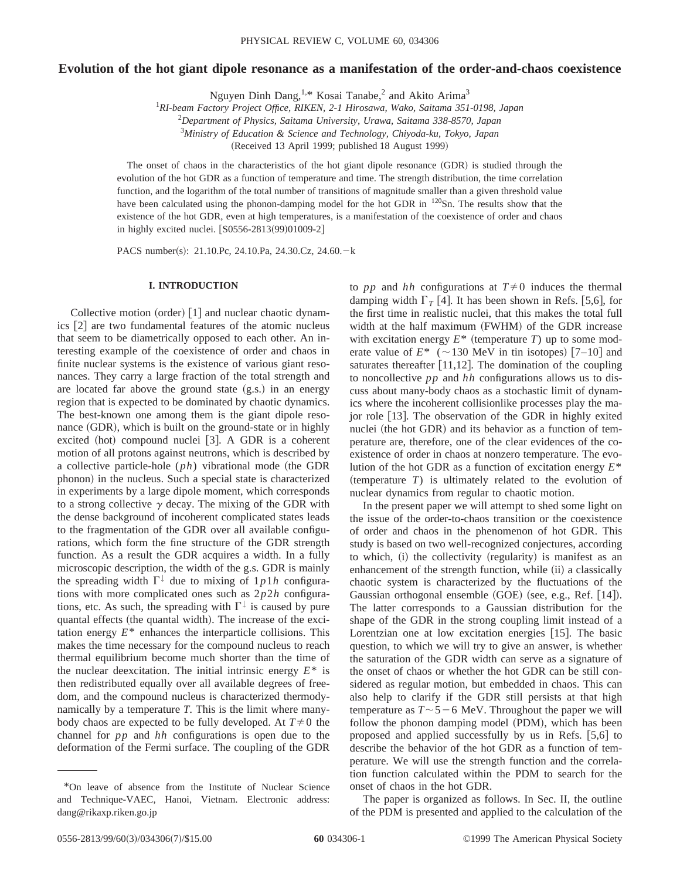# **Evolution of the hot giant dipole resonance as a manifestation of the order-and-chaos coexistence**

Nguyen Dinh Dang,<sup>1,\*</sup> Kosai Tanabe,<sup>2</sup> and Akito Arima<sup>3</sup>

1 *RI-beam Factory Project Office, RIKEN, 2-1 Hirosawa, Wako, Saitama 351-0198, Japan*

2 *Department of Physics, Saitama University, Urawa, Saitama 338-8570, Japan*

3 *Ministry of Education & Science and Technology, Chiyoda-ku, Tokyo, Japan*

(Received 13 April 1999; published 18 August 1999)

The onset of chaos in the characteristics of the hot giant dipole resonance (GDR) is studied through the evolution of the hot GDR as a function of temperature and time. The strength distribution, the time correlation function, and the logarithm of the total number of transitions of magnitude smaller than a given threshold value have been calculated using the phonon-damping model for the hot GDR in <sup>120</sup>Sn. The results show that the existence of the hot GDR, even at high temperatures, is a manifestation of the coexistence of order and chaos in highly excited nuclei.  $[$0556-2813(99)01009-2]$ 

PACS number(s): 21.10.Pc, 24.10.Pa, 24.30.Cz, 24.60.-k

#### **I. INTRODUCTION**

Collective motion (order)  $|1|$  and nuclear chaotic dynamics  $[2]$  are two fundamental features of the atomic nucleus that seem to be diametrically opposed to each other. An interesting example of the coexistence of order and chaos in finite nuclear systems is the existence of various giant resonances. They carry a large fraction of the total strength and are located far above the ground state  $(g.s.)$  in an energy region that is expected to be dominated by chaotic dynamics. The best-known one among them is the giant dipole resonance  $(GDR)$ , which is built on the ground-state or in highly excited (hot) compound nuclei  $[3]$ . A GDR is a coherent motion of all protons against neutrons, which is described by a collective particle-hole  $(ph)$  vibrational mode (the GDR phonon) in the nucleus. Such a special state is characterized in experiments by a large dipole moment, which corresponds to a strong collective  $\gamma$  decay. The mixing of the GDR with the dense background of incoherent complicated states leads to the fragmentation of the GDR over all available configurations, which form the fine structure of the GDR strength function. As a result the GDR acquires a width. In a fully microscopic description, the width of the g.s. GDR is mainly the spreading width  $\Gamma^{\downarrow}$  due to mixing of  $1p1h$  configurations with more complicated ones such as 2*p*2*h* configurations, etc. As such, the spreading with  $\Gamma^{\downarrow}$  is caused by pure quantal effects (the quantal width). The increase of the excitation energy *E*\* enhances the interparticle collisions. This makes the time necessary for the compound nucleus to reach thermal equilibrium become much shorter than the time of the nuclear deexcitation. The initial intrinsic energy *E*\* is then redistributed equally over all available degrees of freedom, and the compound nucleus is characterized thermodynamically by a temperature *T*. This is the limit where manybody chaos are expected to be fully developed. At  $T\neq 0$  the channel for *pp* and *hh* configurations is open due to the deformation of the Fermi surface. The coupling of the GDR

to *pp* and *hh* configurations at  $T \neq 0$  induces the thermal damping width  $\Gamma_T$  [4]. It has been shown in Refs. [5,6], for the first time in realistic nuclei, that this makes the total full width at the half maximum (FWHM) of the GDR increase with excitation energy  $E^*$  (temperature *T*) up to some moderate value of  $E^*$  ( $\sim$ 130 MeV in tin isotopes) [7–10] and saturates thereafter  $[11,12]$ . The domination of the coupling to noncollective *pp* and *hh* configurations allows us to discuss about many-body chaos as a stochastic limit of dynamics where the incoherent collisionlike processes play the major role [13]. The observation of the GDR in highly exited nuclei (the hot GDR) and its behavior as a function of temperature are, therefore, one of the clear evidences of the coexistence of order in chaos at nonzero temperature. The evolution of the hot GDR as a function of excitation energy *E*\*  $(temperature T)$  is ultimately related to the evolution of nuclear dynamics from regular to chaotic motion.

In the present paper we will attempt to shed some light on the issue of the order-to-chaos transition or the coexistence of order and chaos in the phenomenon of hot GDR. This study is based on two well-recognized conjectures, according to which, (i) the collectivity (regularity) is manifest as an enhancement of the strength function, while (ii) a classically chaotic system is characterized by the fluctuations of the Gaussian orthogonal ensemble  $(GOE)$  (see, e.g., Ref. [14]). The latter corresponds to a Gaussian distribution for the shape of the GDR in the strong coupling limit instead of a Lorentzian one at low excitation energies  $[15]$ . The basic question, to which we will try to give an answer, is whether the saturation of the GDR width can serve as a signature of the onset of chaos or whether the hot GDR can be still considered as regular motion, but embedded in chaos. This can also help to clarify if the GDR still persists at that high temperature as  $T \sim 5-6$  MeV. Throughout the paper we will follow the phonon damping model (PDM), which has been proposed and applied successfully by us in Refs.  $[5,6]$  to describe the behavior of the hot GDR as a function of temperature. We will use the strength function and the correlation function calculated within the PDM to search for the onset of chaos in the hot GDR.

The paper is organized as follows. In Sec. II, the outline of the PDM is presented and applied to the calculation of the

<sup>\*</sup>On leave of absence from the Institute of Nuclear Science and Technique-VAEC, Hanoi, Vietnam. Electronic address: dang@rikaxp.riken.go.jp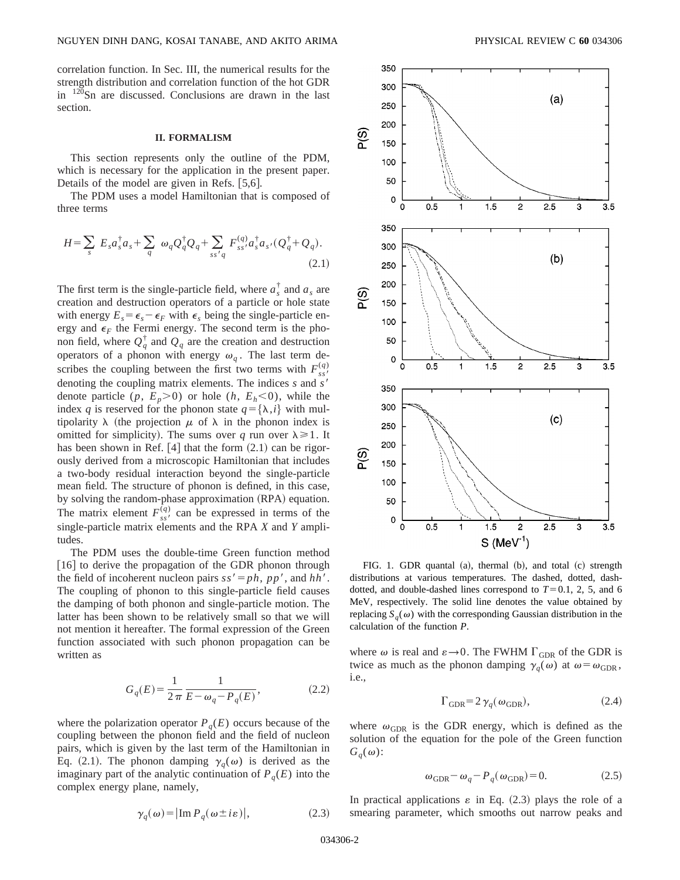correlation function. In Sec. III, the numerical results for the strength distribution and correlation function of the hot GDR in 120Sn are discussed. Conclusions are drawn in the last section.

#### **II. FORMALISM**

This section represents only the outline of the PDM, which is necessary for the application in the present paper. Details of the model are given in Refs.  $[5,6]$ .

The PDM uses a model Hamiltonian that is composed of three terms

$$
H = \sum_{s} E_{s} a_{s}^{\dagger} a_{s} + \sum_{q} \omega_{q} Q_{q}^{\dagger} Q_{q} + \sum_{ss'q} F_{ss'}^{(q)} a_{s}^{\dagger} a_{s'} (Q_{q}^{\dagger} + Q_{q}).
$$
\n(2.1)

The first term is the single-particle field, where  $a_s^{\dagger}$  and  $a_s$  are creation and destruction operators of a particle or hole state with energy  $E_s = \epsilon_s - \epsilon_F$  with  $\epsilon_s$  being the single-particle energy and  $\epsilon_F$  the Fermi energy. The second term is the phonon field, where  $Q_q^{\dagger}$  and  $Q_q$  are the creation and destruction operators of a phonon with energy  $\omega_q$ . The last term describes the coupling between the first two terms with  $F_{ss}^{(q)}$ denoting the coupling matrix elements. The indices *s* and *s'* denote particle  $(p, E_p > 0)$  or hole  $(h, E_h < 0)$ , while the index *q* is reserved for the phonon state  $q = {\lambda, i}$  with multipolarity  $\lambda$  (the projection  $\mu$  of  $\lambda$  in the phonon index is omitted for simplicity). The sums over *q* run over  $\lambda \geq 1$ . It has been shown in Ref.  $[4]$  that the form  $(2.1)$  can be rigorously derived from a microscopic Hamiltonian that includes a two-body residual interaction beyond the single-particle mean field. The structure of phonon is defined, in this case, by solving the random-phase approximation (RPA) equation. The matrix element  $F_{ss'}^{(q)}$  can be expressed in terms of the single-particle matrix elements and the RPA *X* and *Y* amplitudes.

The PDM uses the double-time Green function method  $[16]$  to derive the propagation of the GDR phonon through the field of incoherent nucleon pairs  $ss' = ph$ ,  $pp'$ , and  $hh'$ . The coupling of phonon to this single-particle field causes the damping of both phonon and single-particle motion. The latter has been shown to be relatively small so that we will not mention it hereafter. The formal expression of the Green function associated with such phonon propagation can be written as

$$
G_q(E) = \frac{1}{2\pi} \frac{1}{E - \omega_q - P_q(E)},
$$
\n(2.2)

where the polarization operator  $P_q(E)$  occurs because of the coupling between the phonon field and the field of nucleon pairs, which is given by the last term of the Hamiltonian in Eq. (2.1). The phonon damping  $\gamma_q(\omega)$  is derived as the imaginary part of the analytic continuation of  $P_q(E)$  into the complex energy plane, namely,

i.e.,

where  $\omega_{\rm GDR}$  is the GDR energy, which is defined as the solution of the equation for the pole of the Green function  $G_q(\omega)$ :

$$
\omega_{\text{GDR}} - \omega_q - P_q(\omega_{\text{GDR}}) = 0. \tag{2.5}
$$

 $\Gamma_{\text{GDR}}=2\,\gamma_a(\omega_{\text{GDR}}),$  (2.4)

In practical applications  $\varepsilon$  in Eq. (2.3) plays the role of a smearing parameter, which smooths out narrow peaks and



FIG. 1. GDR quantal  $(a)$ , thermal  $(b)$ , and total  $(c)$  strength distributions at various temperatures. The dashed, dotted, dashdotted, and double-dashed lines correspond to  $T=0.1, 2, 5$ , and 6 MeV, respectively. The solid line denotes the value obtained by replacing  $S_a(\omega)$  with the corresponding Gaussian distribution in the calculation of the function *P*.

where  $\omega$  is real and  $\varepsilon \rightarrow 0$ . The FWHM  $\Gamma_{\text{GDR}}$  of the GDR is twice as much as the phonon damping  $\gamma_q(\omega)$  at  $\omega = \omega_{\text{GDR}}$ ,

 $\gamma_q(\omega) = |\text{Im } P_q(\omega \pm i\varepsilon)|,$  (2.3)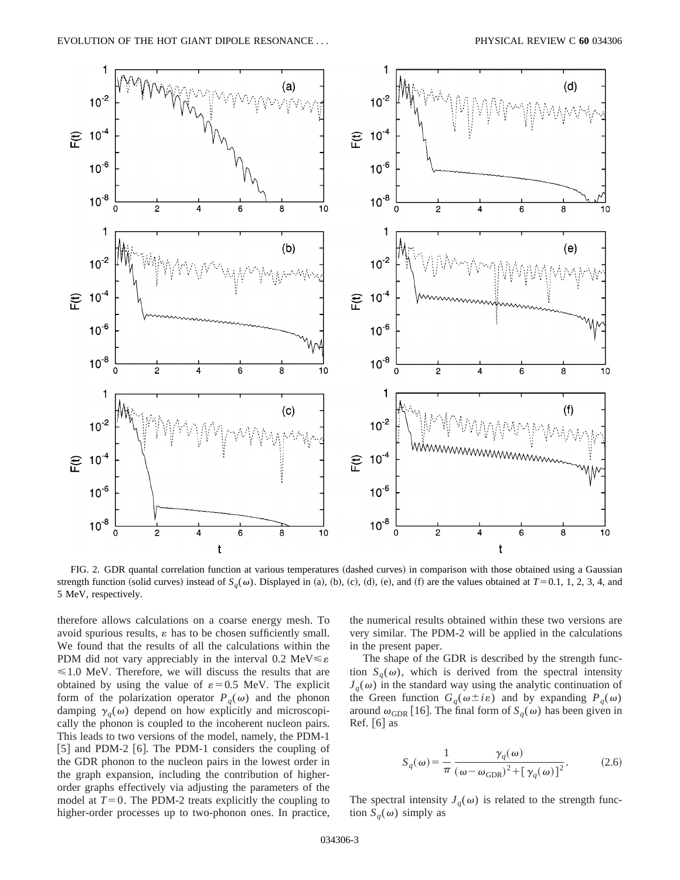

FIG. 2. GDR quantal correlation function at various temperatures (dashed curves) in comparison with those obtained using a Gaussian strength function (solid curves) instead of  $S_q(\omega)$ . Displayed in (a), (b), (c), (d), (e), and (f) are the values obtained at  $T=0.1, 1, 2, 3, 4$ , and 5 MeV, respectively.

therefore allows calculations on a coarse energy mesh. To avoid spurious results,  $\varepsilon$  has to be chosen sufficiently small. We found that the results of all the calculations within the PDM did not vary appreciably in the interval 0.2 MeV $\leq \varepsilon$  $\leq 1.0$  MeV. Therefore, we will discuss the results that are obtained by using the value of  $\varepsilon = 0.5$  MeV. The explicit form of the polarization operator  $P_q(\omega)$  and the phonon damping  $\gamma_q(\omega)$  depend on how explicitly and microscopically the phonon is coupled to the incoherent nucleon pairs. This leads to two versions of the model, namely, the PDM-1  $[5]$  and PDM-2  $[6]$ . The PDM-1 considers the coupling of the GDR phonon to the nucleon pairs in the lowest order in the graph expansion, including the contribution of higherorder graphs effectively via adjusting the parameters of the model at  $T=0$ . The PDM-2 treats explicitly the coupling to higher-order processes up to two-phonon ones. In practice, the numerical results obtained within these two versions are very similar. The PDM-2 will be applied in the calculations in the present paper.

The shape of the GDR is described by the strength function  $S_q(\omega)$ , which is derived from the spectral intensity  $J_q(\omega)$  in the standard way using the analytic continuation of the Green function  $G_q(\omega \pm i\varepsilon)$  and by expanding  $P_q(\omega)$ around  $\omega_{\text{GDR}}$  [16]. The final form of  $S_q(\omega)$  has been given in Ref.  $\lceil 6 \rceil$  as

$$
S_q(\omega) = \frac{1}{\pi} \frac{\gamma_q(\omega)}{(\omega - \omega_{\text{GDR}})^2 + [\gamma_q(\omega)]^2}.
$$
 (2.6)

The spectral intensity  $J_q(\omega)$  is related to the strength function  $S_q(\omega)$  simply as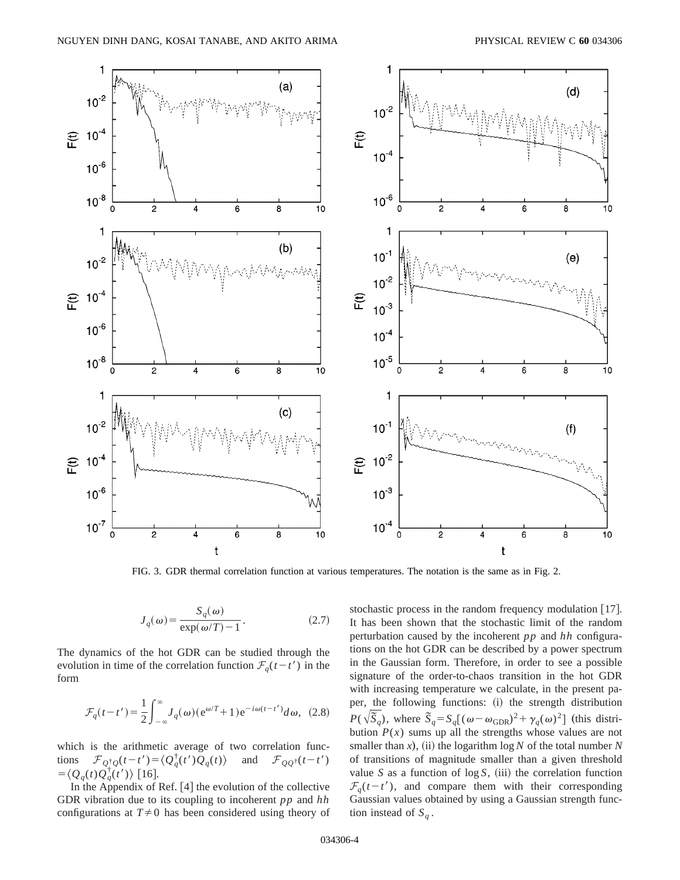

FIG. 3. GDR thermal correlation function at various temperatures. The notation is the same as in Fig. 2.

$$
J_q(\omega) = \frac{S_q(\omega)}{\exp(\omega/T) - 1}.
$$
 (2.7)

The dynamics of the hot GDR can be studied through the evolution in time of the correlation function  $\mathcal{F}_q(t-t')$  in the form

$$
\mathcal{F}_q(t-t') = \frac{1}{2} \int_{-\infty}^{\infty} J_q(\omega) (e^{\omega/T} + 1) e^{-i\omega(t-t')} d\omega, \tag{2.8}
$$

which is the arithmetic average of two correlation functions  $\mathcal{F}_{Q_{\perp}^{\dagger}Q}(t-t') = \langle Q_{q}^{\dagger}Q_{\perp}(\tau')\rangle$ and  $\mathcal{F}_{QQ^{\dagger}}(t-t')$  $=\langle Q_q(t)\tilde{Q}_q^{\dagger}(\tilde{t}')\rangle$  [16].

In the Appendix of Ref.  $[4]$  the evolution of the collective GDR vibration due to its coupling to incoherent *pp* and *hh* configurations at  $T\neq 0$  has been considered using theory of stochastic process in the random frequency modulation  $[17]$ . It has been shown that the stochastic limit of the random perturbation caused by the incoherent *pp* and *hh* configurations on the hot GDR can be described by a power spectrum in the Gaussian form. Therefore, in order to see a possible signature of the order-to-chaos transition in the hot GDR with increasing temperature we calculate, in the present paper, the following functions: (i) the strength distribution  $P(\sqrt{\tilde{S}_q})$ , where  $\tilde{S}_q = S_q[(\omega - \omega_{\text{GDR}})^2 + \gamma_q(\omega)^2]$  (this distribution  $P(x)$  sums up all the strengths whose values are not smaller than  $x$ ), (ii) the logarithm log  $N$  of the total number  $N$ of transitions of magnitude smaller than a given threshold value *S* as a function of  $\log S$ , (iii) the correlation function  $\mathcal{F}_q(t-t')$ , and compare them with their corresponding Gaussian values obtained by using a Gaussian strength function instead of  $S_q$ .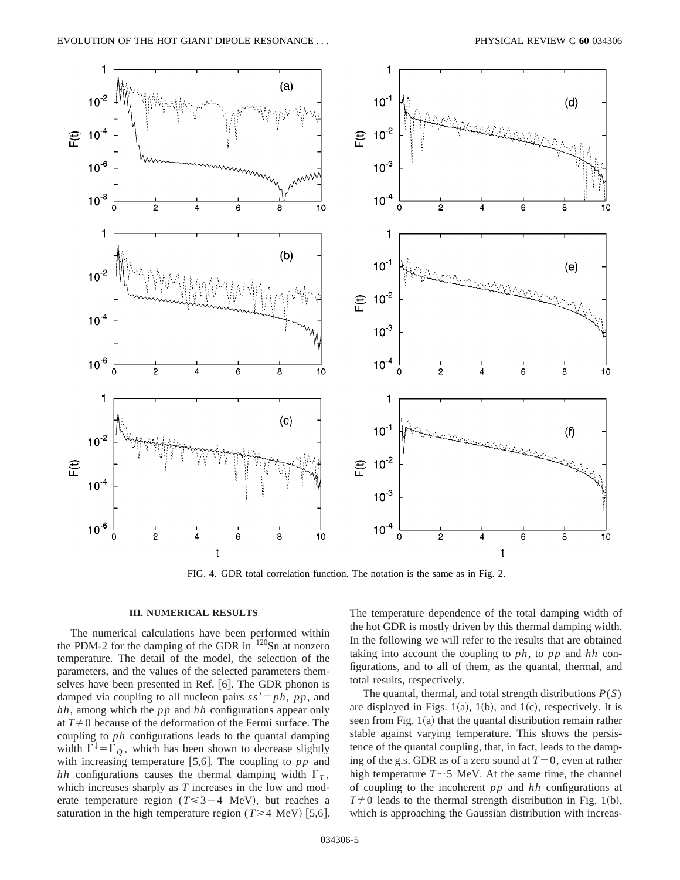

FIG. 4. GDR total correlation function. The notation is the same as in Fig. 2.

### **III. NUMERICAL RESULTS**

The numerical calculations have been performed within the PDM-2 for the damping of the GDR in  $120$ Sn at nonzero temperature. The detail of the model, the selection of the parameters, and the values of the selected parameters themselves have been presented in Ref. [6]. The GDR phonon is damped via coupling to all nucleon pairs  $ss' = ph$ ,  $pp$ , and *hh*, among which the *pp* and *hh* configurations appear only at  $T\neq 0$  because of the deformation of the Fermi surface. The coupling to *ph* configurations leads to the quantal damping width  $\Gamma^{\downarrow} = \Gamma_O$ , which has been shown to decrease slightly with increasing temperature  $[5,6]$ . The coupling to  $pp$  and *hh* configurations causes the thermal damping width  $\Gamma_T$ , which increases sharply as *T* increases in the low and moderate temperature region ( $T \leq 3-4$  MeV), but reaches a saturation in the high temperature region ( $T \ge 4$  MeV) [5,6]. The temperature dependence of the total damping width of the hot GDR is mostly driven by this thermal damping width. In the following we will refer to the results that are obtained taking into account the coupling to *ph*, to *pp* and *hh* configurations, and to all of them, as the quantal, thermal, and total results, respectively.

The quantal, thermal, and total strength distributions *P*(*S*) are displayed in Figs. 1(a), 1(b), and 1(c), respectively. It is seen from Fig.  $1(a)$  that the quantal distribution remain rather stable against varying temperature. This shows the persistence of the quantal coupling, that, in fact, leads to the damping of the g.s. GDR as of a zero sound at  $T=0$ , even at rather high temperature  $T \sim 5$  MeV. At the same time, the channel of coupling to the incoherent *pp* and *hh* configurations at  $T\neq 0$  leads to the thermal strength distribution in Fig. 1(b), which is approaching the Gaussian distribution with increas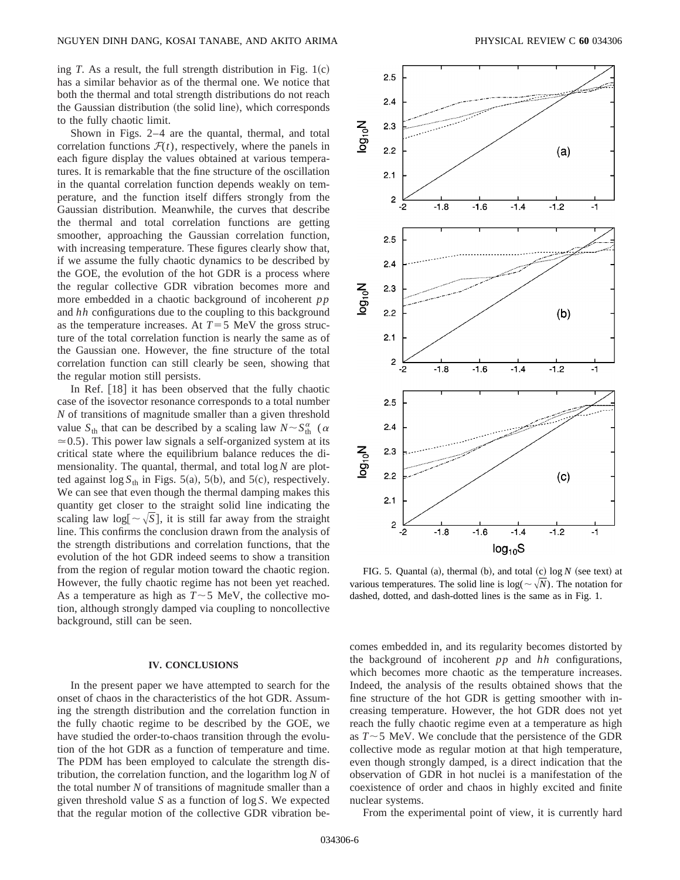ing *T*. As a result, the full strength distribution in Fig.  $1(c)$ has a similar behavior as of the thermal one. We notice that both the thermal and total strength distributions do not reach the Gaussian distribution (the solid line), which corresponds to the fully chaotic limit.

Shown in Figs. 2–4 are the quantal, thermal, and total correlation functions  $F(t)$ , respectively, where the panels in each figure display the values obtained at various temperatures. It is remarkable that the fine structure of the oscillation in the quantal correlation function depends weakly on temperature, and the function itself differs strongly from the Gaussian distribution. Meanwhile, the curves that describe the thermal and total correlation functions are getting smoother, approaching the Gaussian correlation function, with increasing temperature. These figures clearly show that, if we assume the fully chaotic dynamics to be described by the GOE, the evolution of the hot GDR is a process where the regular collective GDR vibration becomes more and more embedded in a chaotic background of incoherent *pp* and *hh* configurations due to the coupling to this background as the temperature increases. At  $T=5$  MeV the gross structure of the total correlation function is nearly the same as of the Gaussian one. However, the fine structure of the total correlation function can still clearly be seen, showing that the regular motion still persists.

In Ref.  $[18]$  it has been observed that the fully chaotic case of the isovector resonance corresponds to a total number *N* of transitions of magnitude smaller than a given threshold value  $S_{\text{th}}$  that can be described by a scaling law  $N \sim S_{\text{th}}^{\alpha}$  ( $\alpha$ )  $\approx$  0.5). This power law signals a self-organized system at its critical state where the equilibrium balance reduces the dimensionality. The quantal, thermal, and total log *N* are plotted against  $\log S_{th}$  in Figs. 5(a), 5(b), and 5(c), respectively. We can see that even though the thermal damping makes this quantity get closer to the straight solid line indicating the scaling law  $log[\sim \sqrt{S}]$ , it is still far away from the straight line. This confirms the conclusion drawn from the analysis of the strength distributions and correlation functions, that the evolution of the hot GDR indeed seems to show a transition from the region of regular motion toward the chaotic region. However, the fully chaotic regime has not been yet reached. As a temperature as high as  $T \sim 5$  MeV, the collective motion, although strongly damped via coupling to noncollective background, still can be seen.

#### **IV. CONCLUSIONS**

In the present paper we have attempted to search for the onset of chaos in the characteristics of the hot GDR. Assuming the strength distribution and the correlation function in the fully chaotic regime to be described by the GOE, we have studied the order-to-chaos transition through the evolution of the hot GDR as a function of temperature and time. The PDM has been employed to calculate the strength distribution, the correlation function, and the logarithm log *N* of the total number *N* of transitions of magnitude smaller than a given threshold value *S* as a function of log *S*. We expected that the regular motion of the collective GDR vibration be-



FIG. 5. Quantal (a), thermal (b), and total  $(c)$  log  $N$  (see text) at various temperatures. The solid line is  $log(\sim \sqrt{N})$ . The notation for dashed, dotted, and dash-dotted lines is the same as in Fig. 1.

comes embedded in, and its regularity becomes distorted by the background of incoherent *pp* and *hh* configurations, which becomes more chaotic as the temperature increases. Indeed, the analysis of the results obtained shows that the fine structure of the hot GDR is getting smoother with increasing temperature. However, the hot GDR does not yet reach the fully chaotic regime even at a temperature as high as  $T \sim 5$  MeV. We conclude that the persistence of the GDR collective mode as regular motion at that high temperature, even though strongly damped, is a direct indication that the observation of GDR in hot nuclei is a manifestation of the coexistence of order and chaos in highly excited and finite nuclear systems.

From the experimental point of view, it is currently hard